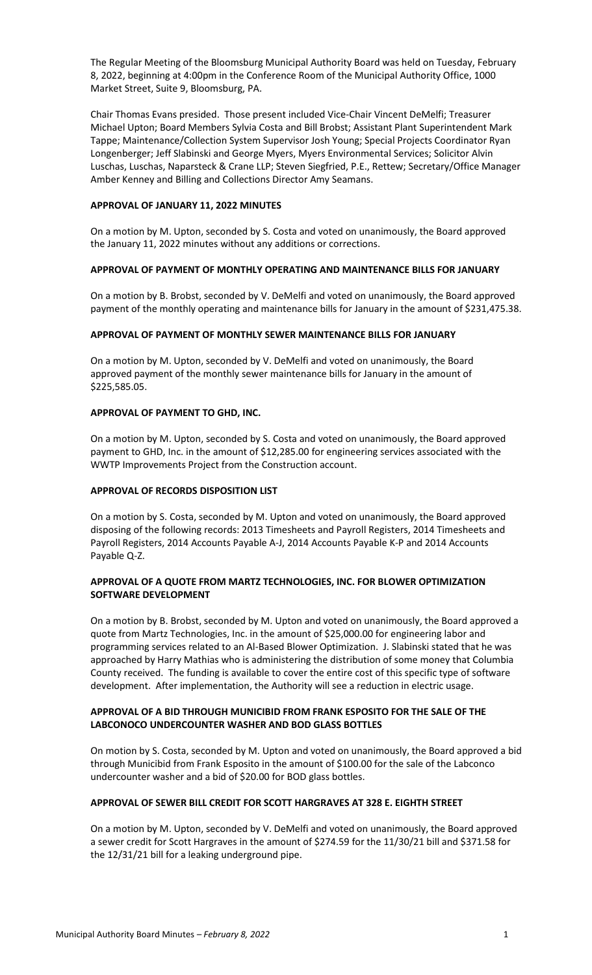The Regular Meeting of the Bloomsburg Municipal Authority Board was held on Tuesday, February 8, 2022, beginning at 4:00pm in the Conference Room of the Municipal Authority Office, 1000 Market Street, Suite 9, Bloomsburg, PA.

Chair Thomas Evans presided. Those present included Vice-Chair Vincent DeMelfi; Treasurer Michael Upton; Board Members Sylvia Costa and Bill Brobst; Assistant Plant Superintendent Mark Tappe; Maintenance/Collection System Supervisor Josh Young; Special Projects Coordinator Ryan Longenberger; Jeff Slabinski and George Myers, Myers Environmental Services; Solicitor Alvin Luschas, Luschas, Naparsteck & Crane LLP; Steven Siegfried, P.E., Rettew; Secretary/Office Manager Amber Kenney and Billing and Collections Director Amy Seamans.

### **APPROVAL OF JANUARY 11, 2022 MINUTES**

On a motion by M. Upton, seconded by S. Costa and voted on unanimously, the Board approved the January 11, 2022 minutes without any additions or corrections.

# **APPROVAL OF PAYMENT OF MONTHLY OPERATING AND MAINTENANCE BILLS FOR JANUARY**

On a motion by B. Brobst, seconded by V. DeMelfi and voted on unanimously, the Board approved payment of the monthly operating and maintenance bills for January in the amount of \$231,475.38.

#### **APPROVAL OF PAYMENT OF MONTHLY SEWER MAINTENANCE BILLS FOR JANUARY**

On a motion by M. Upton, seconded by V. DeMelfi and voted on unanimously, the Board approved payment of the monthly sewer maintenance bills for January in the amount of \$225,585.05.

#### **APPROVAL OF PAYMENT TO GHD, INC.**

On a motion by M. Upton, seconded by S. Costa and voted on unanimously, the Board approved payment to GHD, Inc. in the amount of \$12,285.00 for engineering services associated with the WWTP Improvements Project from the Construction account.

# **APPROVAL OF RECORDS DISPOSITION LIST**

On a motion by S. Costa, seconded by M. Upton and voted on unanimously, the Board approved disposing of the following records: 2013 Timesheets and Payroll Registers, 2014 Timesheets and Payroll Registers, 2014 Accounts Payable A-J, 2014 Accounts Payable K-P and 2014 Accounts Payable Q-Z.

# **APPROVAL OF A QUOTE FROM MARTZ TECHNOLOGIES, INC. FOR BLOWER OPTIMIZATION SOFTWARE DEVELOPMENT**

On a motion by B. Brobst, seconded by M. Upton and voted on unanimously, the Board approved a quote from Martz Technologies, Inc. in the amount of \$25,000.00 for engineering labor and programming services related to an Al-Based Blower Optimization. J. Slabinski stated that he was approached by Harry Mathias who is administering the distribution of some money that Columbia County received. The funding is available to cover the entire cost of this specific type of software development. After implementation, the Authority will see a reduction in electric usage.

# **APPROVAL OF A BID THROUGH MUNICIBID FROM FRANK ESPOSITO FOR THE SALE OF THE LABCONOCO UNDERCOUNTER WASHER AND BOD GLASS BOTTLES**

On motion by S. Costa, seconded by M. Upton and voted on unanimously, the Board approved a bid through Municibid from Frank Esposito in the amount of \$100.00 for the sale of the Labconco undercounter washer and a bid of \$20.00 for BOD glass bottles.

# **APPROVAL OF SEWER BILL CREDIT FOR SCOTT HARGRAVES AT 328 E. EIGHTH STREET**

On a motion by M. Upton, seconded by V. DeMelfi and voted on unanimously, the Board approved a sewer credit for Scott Hargraves in the amount of \$274.59 for the 11/30/21 bill and \$371.58 for the 12/31/21 bill for a leaking underground pipe.